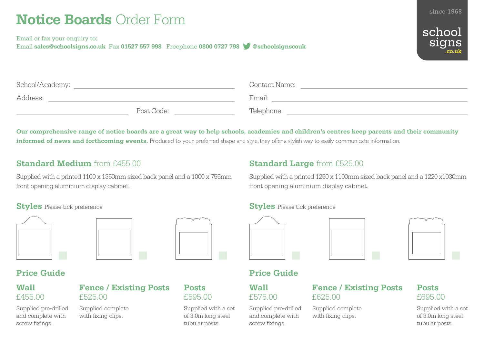# **Notice Boards** Order Form

Email or fax your enquiry to: Email **sales@schoolsigns.co.uk** Fax **01527 557 998** Freephone **0800 0727 798 @schoolsignscouk**



since 1968

| School/Academy: |            | Contact Name: |  |
|-----------------|------------|---------------|--|
| Address:        |            | Email:        |  |
|                 | Post Code: | Telephone:    |  |

**Our comprehensive range of notice boards are a great way to help schools, academies and children's centres keep parents and their community informed of news and forthcoming events.** Produced to your preferred shape and style, they offer a stylish way to easily communicate information.

# **Standard Medium** from £455.00

Supplied with a printed 1100 x 1350mm sized back panel and a 1000 x 755mm front opening aluminium display cabinet.

# **Standard Large** from £525.00

Supplied with a printed 1250 x 1100mm sized back panel and a 1220 x1030mm front opening aluminium display cabinet.



|  | _____ |  |
|--|-------|--|
|  |       |  |

### **Wall**  £575.00

Supplied pre-drilled and complete with screw fixings.

# **Fence / Existing Posts**  £625.00

Supplied complete with fixing clips.

# **Posts**  £695.00

Supplied with a set of 3.0m long steel tubular posts.

### **Styles** Please tick preference **Styles** Please tick preference







## **Wall**  £455.00

Supplied pre-drilled and complete with screw fixings.

# **Fence / Existing Posts**  £525.00

Supplied complete with fixing clips.

### **Posts**  £595.00

Supplied with a set of 3.0m long steel tubular posts.

# school signs